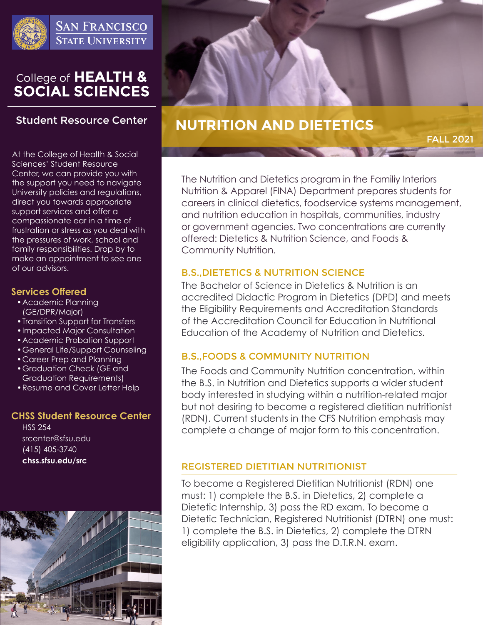

# College of HEALTH &<br>SOCIAL SCIENCES

# **Student Resource Center**

At the College of Health & Social Sciences' Student Resource Center, we can provide you with the support you need to navigate University policies and regulations, direct you towards appropriate support services and offer a compassionate ear in a time of frustration or stress as you deal with the pressures of work, school and family responsibilities. Drop by to make an appointment to see one of our advisors.

# **Services Offered**

- •Academic Planning (GE/DPR/Major)
- •Transition Support for Transfers
- •Impacted Major Consultation
- •Academic Probation Support
- •General Life/Support Counseling
- •Career Prep and Planning
- •Graduation Check (GE and Graduation Requirements)
- •Resume and Cover Letter Help

# **CHSS Student Resource Center**

HSS 254 srcenter@sfsu.edu (415) 405-3740 **chss.sfsu.edu/src**



# **NUTRITION AND DIETETICS**

FALL 2021

The Nutrition and Dietetics program in the Familiy Interiors Nutrition & Apparel (FINA) Department prepares students for careers in clinical dietetics, foodservice systems management, and nutrition education in hospitals, communities, industry or government agencies. Two concentrations are currently offered: Dietetics & Nutrition Science, and Foods & Community Nutrition.

# B.S.,DIETETICS & NUTRITION SCIENCE

The Bachelor of Science in Dietetics & Nutrition is an accredited Didactic Program in Dietetics (DPD) and meets the Eligibility Requirements and Accreditation Standards of the Accreditation Council for Education in Nutritional Education of the Academy of Nutrition and Dietetics.

# B.S.,FOODS & COMMUNITY NUTRITION

The Foods and Community Nutrition concentration, within the B.S. in Nutrition and Dietetics supports a wider student body interested in studying within a nutrition-related major but not desiring to become a registered dietitian nutritionist (RDN). Current students in the CFS Nutrition emphasis may complete a change of major form to this concentration.

## REGISTERED DIETITIAN NUTRITIONIST

To become a Registered Dietitian Nutritionist (RDN) one must: 1) complete the B.S. in Dietetics, 2) complete a Dietetic Internship, 3) pass the RD exam. To become a Dietetic Technician, Registered Nutritionist (DTRN) one must: 1) complete the B.S. in Dietetics, 2) complete the DTRN eligibility application, 3) pass the D.T.R.N. exam.